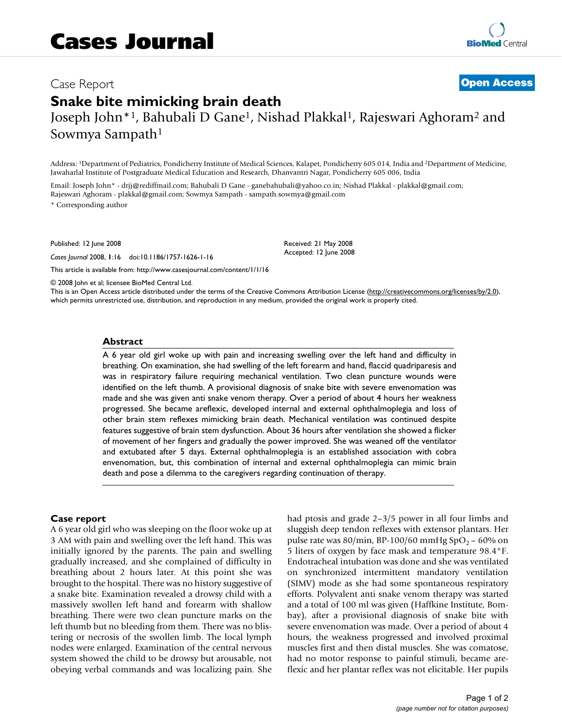# Case Report **[Open Access](http://www.biomedcentral.com/info/about/charter/)**

# **Snake bite mimicking brain death** Joseph John\*1, Bahubali D Gane1, Nishad Plakkal1, Rajeswari Aghoram2 and Sowmya Sampath1

Address: 1Department of Pediatrics, Pondicherry Institute of Medical Sciences, Kalapet, Pondicherry 605 014, India and 2Department of Medicine, Jawaharlal Institute of Postgraduate Medical Education and Research, Dhanvantri Nagar, Pondicherry 605 006, India

Email: Joseph John\* - drjj@rediffmail.com; Bahubali D Gane - ganebahubali@yahoo.co.in; Nishad Plakkal - plakkal@gmail.com; Rajeswari Aghoram - plakkal@gmail.com; Sowmya Sampath - sampath.sowmya@gmail.com \* Corresponding author

Published: 12 June 2008

*Cases Journal* 2008, **1**:16 doi:10.1186/1757-1626-1-16

[This article is available from: http://www.casesjournal.com/content/1/1/16](http://www.casesjournal.com/content/1/1/16)

© 2008 John et al; licensee BioMed Central Ltd.

This is an Open Access article distributed under the terms of the Creative Commons Attribution License [\(http://creativecommons.org/licenses/by/2.0\)](http://creativecommons.org/licenses/by/2.0), which permits unrestricted use, distribution, and reproduction in any medium, provided the original work is properly cited.

Received: 21 May 2008 Accepted: 12 June 2008

#### **Abstract**

A 6 year old girl woke up with pain and increasing swelling over the left hand and difficulty in breathing. On examination, she had swelling of the left forearm and hand, flaccid quadriparesis and was in respiratory failure requiring mechanical ventilation. Two clean puncture wounds were identified on the left thumb. A provisional diagnosis of snake bite with severe envenomation was made and she was given anti snake venom therapy. Over a period of about 4 hours her weakness progressed. She became areflexic, developed internal and external ophthalmoplegia and loss of other brain stem reflexes mimicking brain death. Mechanical ventilation was continued despite features suggestive of brain stem dysfunction. About 36 hours after ventilation she showed a flicker of movement of her fingers and gradually the power improved. She was weaned off the ventilator and extubated after 5 days. External ophthalmoplegia is an established association with cobra envenomation, but, this combination of internal and external ophthalmoplegia can mimic brain death and pose a dilemma to the caregivers regarding continuation of therapy.

#### **Case report**

A 6 year old girl who was sleeping on the floor woke up at 3 AM with pain and swelling over the left hand. This was initially ignored by the parents. The pain and swelling gradually increased, and she complained of difficulty in breathing about 2 hours later. At this point she was brought to the hospital. There was no history suggestive of a snake bite. Examination revealed a drowsy child with a massively swollen left hand and forearm with shallow breathing. There were two clean puncture marks on the left thumb but no bleeding from them. There was no blistering or necrosis of the swollen limb. The local lymph nodes were enlarged. Examination of the central nervous system showed the child to be drowsy but arousable, not obeying verbal commands and was localizing pain. She had ptosis and grade 2–3/5 power in all four limbs and sluggish deep tendon reflexes with extensor plantars. Her pulse rate was  $80/\text{min}$ , BP-100/60 mmHg SpO<sub>2</sub> – 60% on 5 liters of oxygen by face mask and temperature 98.4°F. Endotracheal intubation was done and she was ventilated on synchronized intermittent mandatory ventilation (SIMV) mode as she had some spontaneous respiratory efforts. Polyvalent anti snake venom therapy was started and a total of 100 ml was given (Haffkine Institute, Bombay), after a provisional diagnosis of snake bite with severe envenomation was made. Over a period of about 4 hours, the weakness progressed and involved proximal muscles first and then distal muscles. She was comatose, had no motor response to painful stimuli, became areflexic and her plantar reflex was not elicitable. Her pupils